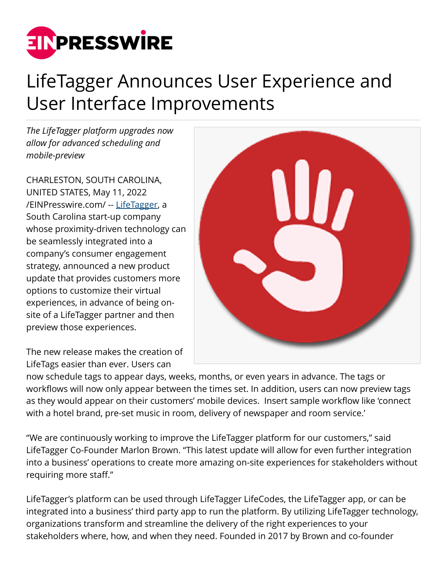

## LifeTagger Announces User Experience and User Interface Improvements

*The LifeTagger platform upgrades now allow for advanced scheduling and mobile-preview*

CHARLESTON, SOUTH CAROLINA, UNITED STATES, May 11, 2022 [/EINPresswire.com/](http://www.einpresswire.com) -- [LifeTagger](http://www.lifetaggerapp.com/), a South Carolina start-up company whose proximity-driven technology can be seamlessly integrated into a company's consumer engagement strategy, announced a new product update that provides customers more options to customize their virtual experiences, in advance of being onsite of a LifeTagger partner and then preview those experiences.

The new release makes the creation of LifeTags easier than ever. Users can

now schedule tags to appear days, weeks, months, or even years in advance. The tags or workflows will now only appear between the times set. In addition, users can now preview tags as they would appear on their customers' mobile devices. Insert sample workflow like 'connect with a hotel brand, pre-set music in room, delivery of newspaper and room service.'

"We are continuously working to improve the LifeTagger platform for our customers," said LifeTagger Co-Founder Marlon Brown. "This latest update will allow for even further integration into a business' operations to create more amazing on-site experiences for stakeholders without requiring more staff."

LifeTagger's platform can be used through LifeTagger LifeCodes, the LifeTagger app, or can be integrated into a business' third party app to run the platform. By utilizing LifeTagger technology, organizations transform and streamline the delivery of the right experiences to your stakeholders where, how, and when they need. Founded in 2017 by Brown and co-founder